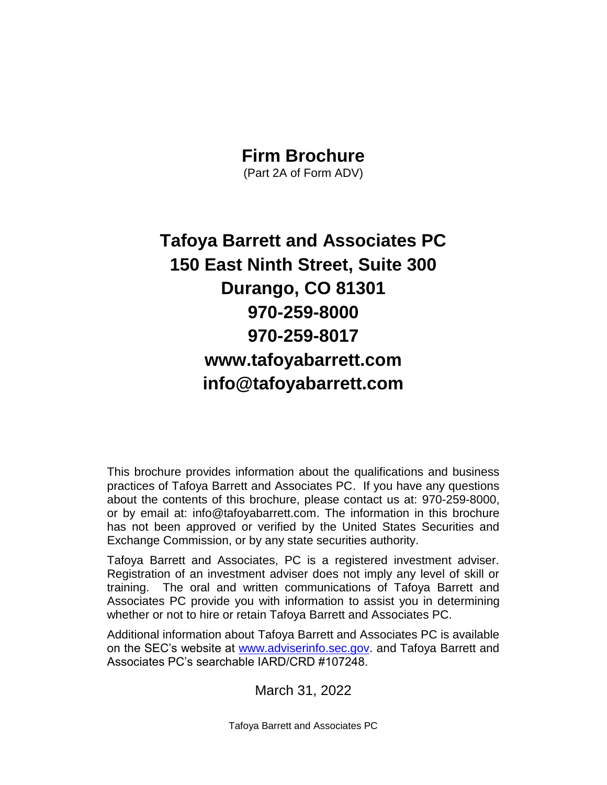### **Firm Brochure**

(Part 2A of Form ADV)

# **Tafoya Barrett and Associates PC 150 East Ninth Street, Suite 300 Durango, CO 81301 970-259-8000 970-259-8017 www.tafoyabarrett.com info@tafoyabarrett.com**

This brochure provides information about the qualifications and business practices of Tafoya Barrett and Associates PC. If you have any questions about the contents of this brochure, please contact us at: 970-259-8000, or by email at: info@tafoyabarrett.com. The information in this brochure has not been approved or verified by the United States Securities and Exchange Commission, or by any state securities authority.

Tafoya Barrett and Associates, PC is a registered investment adviser. Registration of an investment adviser does not imply any level of skill or training. The oral and written communications of Tafoya Barrett and Associates PC provide you with information to assist you in determining whether or not to hire or retain Tafoya Barrett and Associates PC.

Additional information about Tafoya Barrett and Associates PC is available on the SEC's website at [www.adviserinfo.sec.gov.](http://www.adviserinfo.sec.gov/) and Tafoya Barrett and Associates PC's searchable IARD/CRD #107248.

March 31, 2022

Tafoya Barrett and Associates PC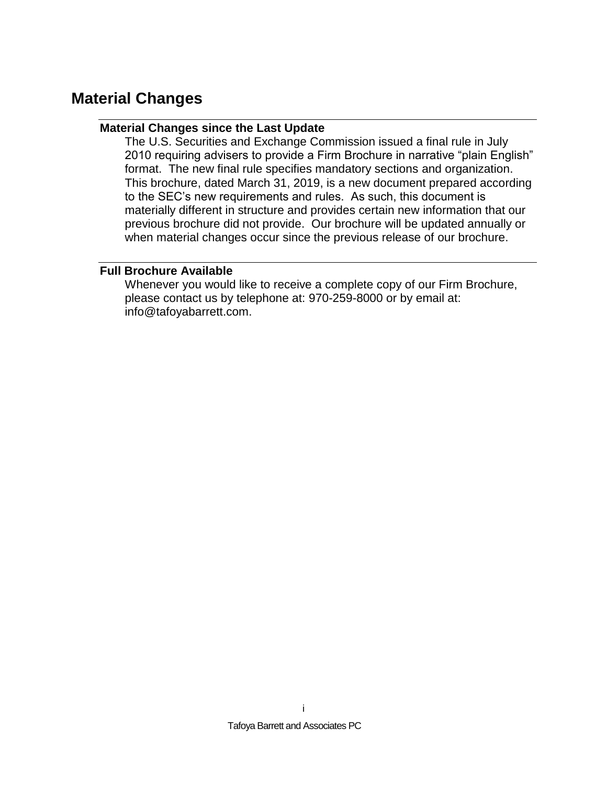# <span id="page-1-1"></span><span id="page-1-0"></span>**Material Changes**

### **Material Changes since the Last Update**

The U.S. Securities and Exchange Commission issued a final rule in July 2010 requiring advisers to provide a Firm Brochure in narrative "plain English" format. The new final rule specifies mandatory sections and organization. This brochure, dated March 31, 2019, is a new document prepared according to the SEC's new requirements and rules. As such, this document is materially different in structure and provides certain new information that our previous brochure did not provide. Our brochure will be updated annually or when material changes occur since the previous release of our brochure.

### <span id="page-1-2"></span>**Full Brochure Available**

Whenever you would like to receive a complete copy of our Firm Brochure, please contact us by telephone at: 970-259-8000 or by email at: info@tafoyabarrett.com.

i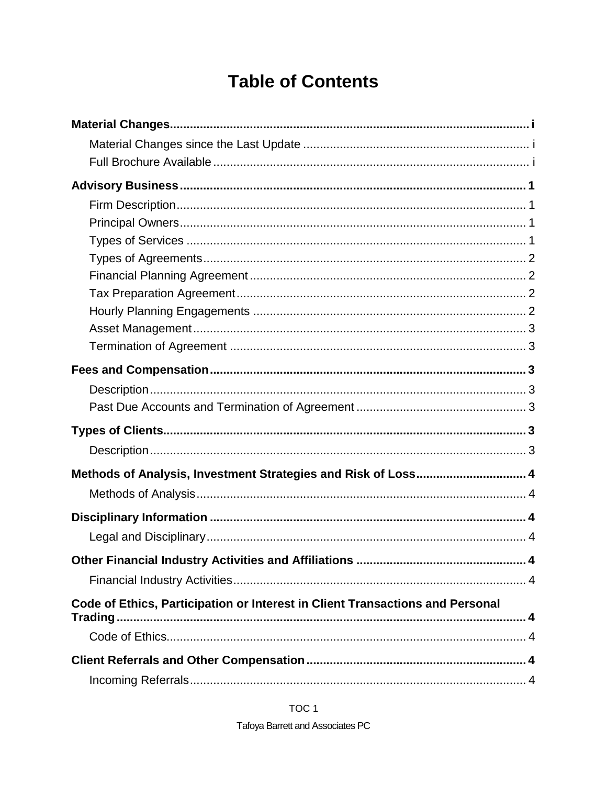# **Table of Contents**

| Methods of Analysis, Investment Strategies and Risk of Loss 4                 |  |
|-------------------------------------------------------------------------------|--|
|                                                                               |  |
|                                                                               |  |
|                                                                               |  |
| 4                                                                             |  |
|                                                                               |  |
| Code of Ethics, Participation or Interest in Client Transactions and Personal |  |
|                                                                               |  |
|                                                                               |  |
|                                                                               |  |

TOC<sub>1</sub>

**Tafoya Barrett and Associates PC**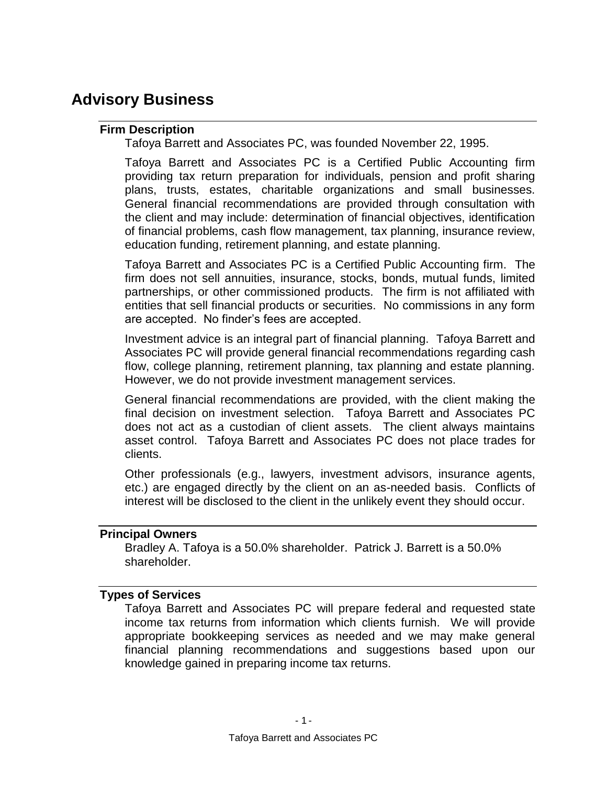# <span id="page-4-1"></span><span id="page-4-0"></span>**Advisory Business**

### **Firm Description**

Tafoya Barrett and Associates PC, was founded November 22, 1995.

Tafoya Barrett and Associates PC is a Certified Public Accounting firm providing tax return preparation for individuals, pension and profit sharing plans, trusts, estates, charitable organizations and small businesses. General financial recommendations are provided through consultation with the client and may include: determination of financial objectives, identification of financial problems, cash flow management, tax planning, insurance review, education funding, retirement planning, and estate planning.

Tafoya Barrett and Associates PC is a Certified Public Accounting firm. The firm does not sell annuities, insurance, stocks, bonds, mutual funds, limited partnerships, or other commissioned products. The firm is not affiliated with entities that sell financial products or securities. No commissions in any form are accepted. No finder's fees are accepted.

Investment advice is an integral part of financial planning. Tafoya Barrett and Associates PC will provide general financial recommendations regarding cash flow, college planning, retirement planning, tax planning and estate planning. However, we do not provide investment management services.

General financial recommendations are provided, with the client making the final decision on investment selection. Tafoya Barrett and Associates PC does not act as a custodian of client assets. The client always maintains asset control. Tafoya Barrett and Associates PC does not place trades for clients.

Other professionals (e.g., lawyers, investment advisors, insurance agents, etc.) are engaged directly by the client on an as-needed basis. Conflicts of interest will be disclosed to the client in the unlikely event they should occur.

### <span id="page-4-2"></span>**Principal Owners**

Bradley A. Tafoya is a 50.0% shareholder. Patrick J. Barrett is a 50.0% shareholder.

### <span id="page-4-3"></span>**Types of Services**

Tafoya Barrett and Associates PC will prepare federal and requested state income tax returns from information which clients furnish. We will provide appropriate bookkeeping services as needed and we may make general financial planning recommendations and suggestions based upon our knowledge gained in preparing income tax returns.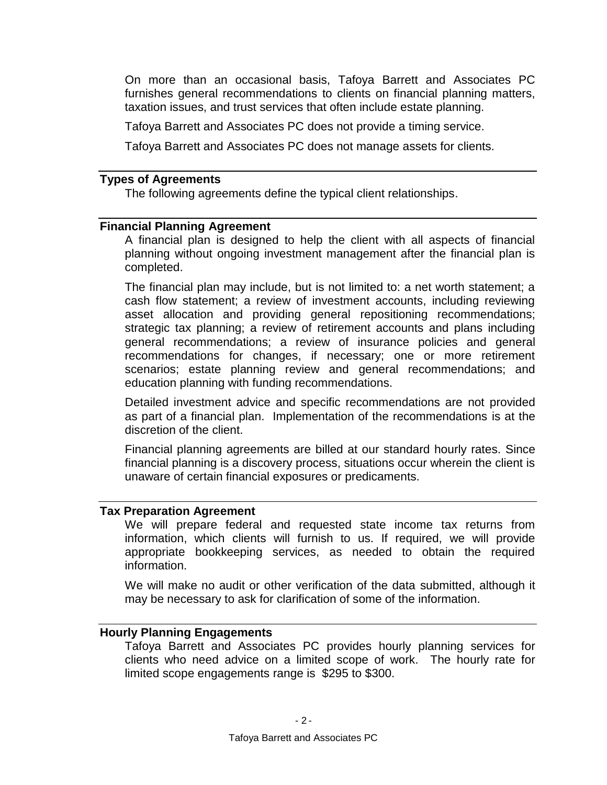On more than an occasional basis, Tafoya Barrett and Associates PC furnishes general recommendations to clients on financial planning matters, taxation issues, and trust services that often include estate planning.

Tafoya Barrett and Associates PC does not provide a timing service.

Tafoya Barrett and Associates PC does not manage assets for clients.

### <span id="page-5-0"></span>**Types of Agreements**

The following agreements define the typical client relationships.

#### <span id="page-5-1"></span>**Financial Planning Agreement**

A financial plan is designed to help the client with all aspects of financial planning without ongoing investment management after the financial plan is completed.

The financial plan may include, but is not limited to: a net worth statement; a cash flow statement; a review of investment accounts, including reviewing asset allocation and providing general repositioning recommendations; strategic tax planning; a review of retirement accounts and plans including general recommendations; a review of insurance policies and general recommendations for changes, if necessary; one or more retirement scenarios; estate planning review and general recommendations; and education planning with funding recommendations.

Detailed investment advice and specific recommendations are not provided as part of a financial plan. Implementation of the recommendations is at the discretion of the client.

Financial planning agreements are billed at our standard hourly rates. Since financial planning is a discovery process, situations occur wherein the client is unaware of certain financial exposures or predicaments.

#### <span id="page-5-2"></span>**Tax Preparation Agreement**

We will prepare federal and requested state income tax returns from information, which clients will furnish to us. If required, we will provide appropriate bookkeeping services, as needed to obtain the required information.

We will make no audit or other verification of the data submitted, although it may be necessary to ask for clarification of some of the information.

### <span id="page-5-3"></span>**Hourly Planning Engagements**

Tafoya Barrett and Associates PC provides hourly planning services for clients who need advice on a limited scope of work. The hourly rate for limited scope engagements range is \$295 to \$300.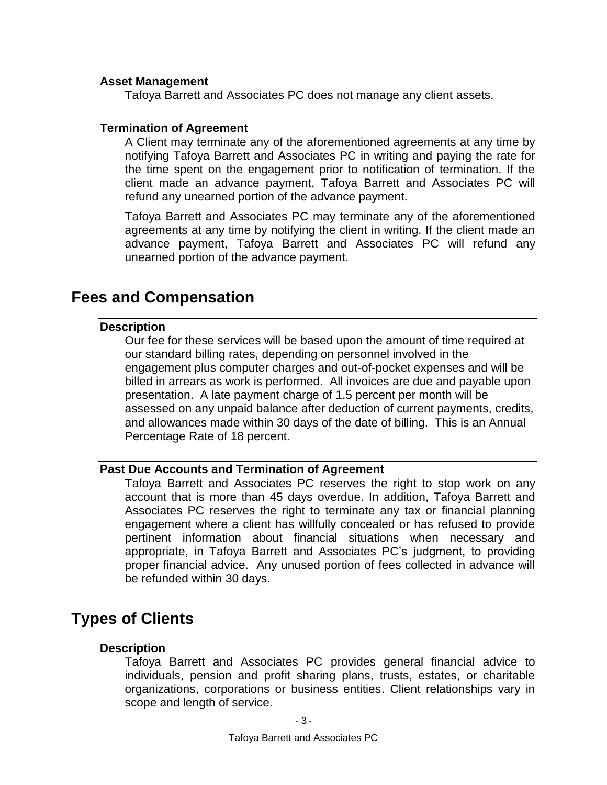### <span id="page-6-0"></span>**Asset Management**

Tafoya Barrett and Associates PC does not manage any client assets.

#### <span id="page-6-1"></span>**Termination of Agreement**

A Client may terminate any of the aforementioned agreements at any time by notifying Tafoya Barrett and Associates PC in writing and paying the rate for the time spent on the engagement prior to notification of termination. If the client made an advance payment, Tafoya Barrett and Associates PC will refund any unearned portion of the advance payment.

Tafoya Barrett and Associates PC may terminate any of the aforementioned agreements at any time by notifying the client in writing. If the client made an advance payment, Tafoya Barrett and Associates PC will refund any unearned portion of the advance payment.

### <span id="page-6-3"></span><span id="page-6-2"></span>**Fees and Compensation**

### **Description**

Our fee for these services will be based upon the amount of time required at our standard billing rates, depending on personnel involved in the engagement plus computer charges and out-of-pocket expenses and will be billed in arrears as work is performed. All invoices are due and payable upon presentation. A late payment charge of 1.5 percent per month will be assessed on any unpaid balance after deduction of current payments, credits, and allowances made within 30 days of the date of billing. This is an Annual Percentage Rate of 18 percent.

### <span id="page-6-4"></span>**Past Due Accounts and Termination of Agreement**

Tafoya Barrett and Associates PC reserves the right to stop work on any account that is more than 45 days overdue. In addition, Tafoya Barrett and Associates PC reserves the right to terminate any tax or financial planning engagement where a client has willfully concealed or has refused to provide pertinent information about financial situations when necessary and appropriate, in Tafoya Barrett and Associates PC's judgment, to providing proper financial advice. Any unused portion of fees collected in advance will be refunded within 30 days.

# <span id="page-6-6"></span><span id="page-6-5"></span>**Types of Clients**

### **Description**

Tafoya Barrett and Associates PC provides general financial advice to individuals, pension and profit sharing plans, trusts, estates, or charitable organizations, corporations or business entities. Client relationships vary in scope and length of service.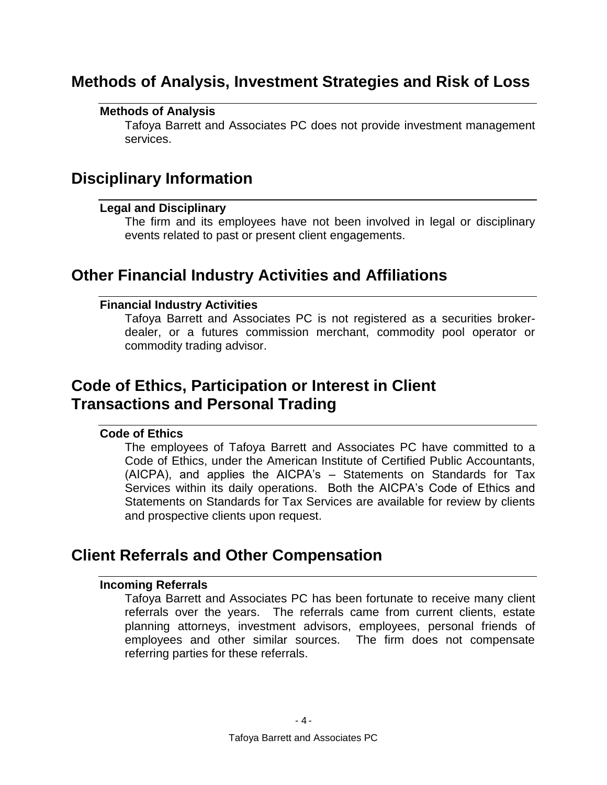# <span id="page-7-1"></span><span id="page-7-0"></span>**Methods of Analysis, Investment Strategies and Risk of Loss**

### **Methods of Analysis**

Tafoya Barrett and Associates PC does not provide investment management services.

# <span id="page-7-3"></span><span id="page-7-2"></span>**Disciplinary Information**

### **Legal and Disciplinary**

The firm and its employees have not been involved in legal or disciplinary events related to past or present client engagements.

# <span id="page-7-5"></span><span id="page-7-4"></span>**Other Financial Industry Activities and Affiliations**

### **Financial Industry Activities**

Tafoya Barrett and Associates PC is not registered as a securities brokerdealer, or a futures commission merchant, commodity pool operator or commodity trading advisor.

# <span id="page-7-6"></span>**Code of Ethics, Participation or Interest in Client Transactions and Personal Trading**

### <span id="page-7-7"></span>**Code of Ethics**

The employees of Tafoya Barrett and Associates PC have committed to a Code of Ethics, under the American Institute of Certified Public Accountants, (AICPA), and applies the AICPA's – Statements on Standards for Tax Services within its daily operations. Both the AICPA's Code of Ethics and Statements on Standards for Tax Services are available for review by clients and prospective clients upon request.

# <span id="page-7-9"></span><span id="page-7-8"></span>**Client Referrals and Other Compensation**

### **Incoming Referrals**

Tafoya Barrett and Associates PC has been fortunate to receive many client referrals over the years. The referrals came from current clients, estate planning attorneys, investment advisors, employees, personal friends of employees and other similar sources. The firm does not compensate referring parties for these referrals.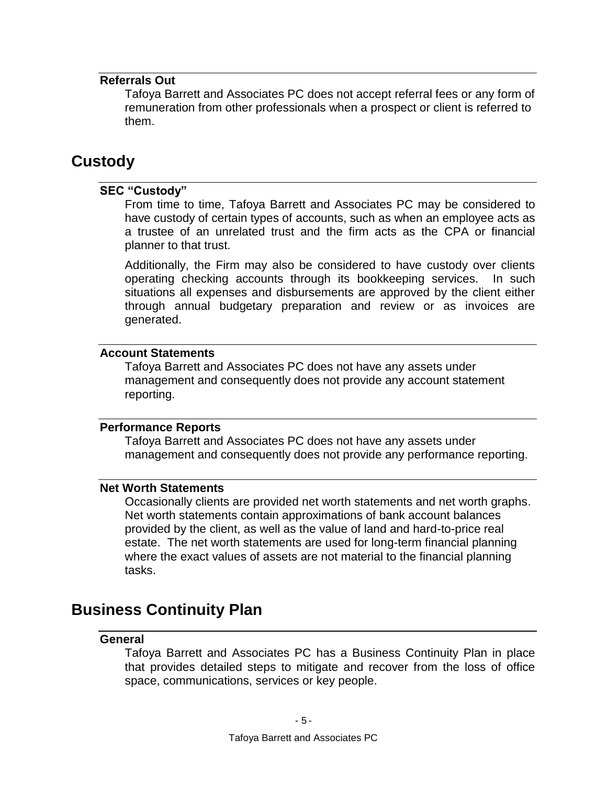### <span id="page-8-0"></span>**Referrals Out**

Tafoya Barrett and Associates PC does not accept referral fees or any form of remuneration from other professionals when a prospect or client is referred to them.

## <span id="page-8-2"></span><span id="page-8-1"></span>**Custody**

### **SEC "Custody"**

From time to time, Tafoya Barrett and Associates PC may be considered to have custody of certain types of accounts, such as when an employee acts as a trustee of an unrelated trust and the firm acts as the CPA or financial planner to that trust.

Additionally, the Firm may also be considered to have custody over clients operating checking accounts through its bookkeeping services. In such situations all expenses and disbursements are approved by the client either through annual budgetary preparation and review or as invoices are generated.

### <span id="page-8-3"></span>**Account Statements**

Tafoya Barrett and Associates PC does not have any assets under management and consequently does not provide any account statement reporting.

### <span id="page-8-4"></span>**Performance Reports**

Tafoya Barrett and Associates PC does not have any assets under management and consequently does not provide any performance reporting.

### <span id="page-8-5"></span>**Net Worth Statements**

Occasionally clients are provided net worth statements and net worth graphs. Net worth statements contain approximations of bank account balances provided by the client, as well as the value of land and hard-to-price real estate. The net worth statements are used for long-term financial planning where the exact values of assets are not material to the financial planning tasks.

### <span id="page-8-7"></span><span id="page-8-6"></span>**Business Continuity Plan**

### **General**

Tafoya Barrett and Associates PC has a Business Continuity Plan in place that provides detailed steps to mitigate and recover from the loss of office space, communications, services or key people.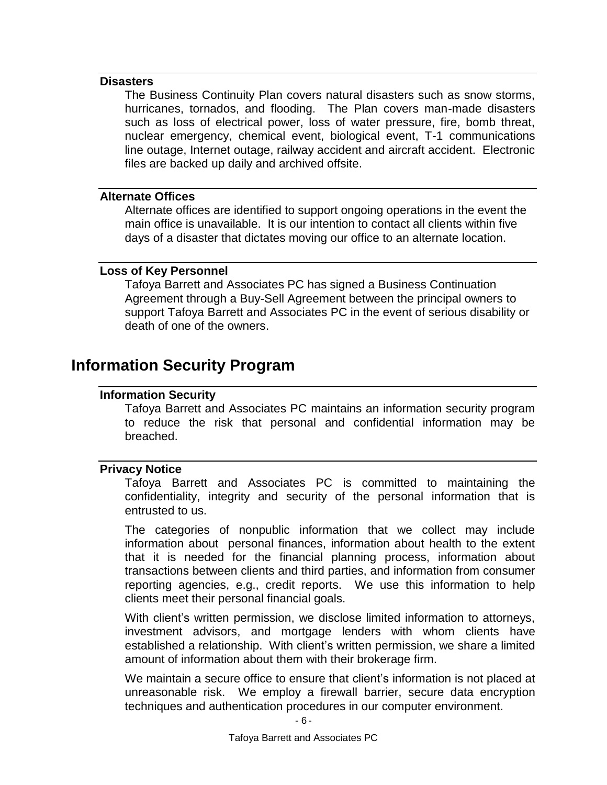### <span id="page-9-0"></span>**Disasters**

The Business Continuity Plan covers natural disasters such as snow storms, hurricanes, tornados, and flooding. The Plan covers man-made disasters such as loss of electrical power, loss of water pressure, fire, bomb threat, nuclear emergency, chemical event, biological event, T-1 communications line outage, Internet outage, railway accident and aircraft accident. Electronic files are backed up daily and archived offsite.

### <span id="page-9-1"></span>**Alternate Offices**

Alternate offices are identified to support ongoing operations in the event the main office is unavailable. It is our intention to contact all clients within five days of a disaster that dictates moving our office to an alternate location.

### <span id="page-9-2"></span>**Loss of Key Personnel**

Tafoya Barrett and Associates PC has signed a Business Continuation Agreement through a Buy-Sell Agreement between the principal owners to support Tafoya Barrett and Associates PC in the event of serious disability or death of one of the owners.

## <span id="page-9-4"></span><span id="page-9-3"></span>**Information Security Program**

### **Information Security**

Tafoya Barrett and Associates PC maintains an information security program to reduce the risk that personal and confidential information may be breached.

### <span id="page-9-5"></span>**Privacy Notice**

Tafoya Barrett and Associates PC is committed to maintaining the confidentiality, integrity and security of the personal information that is entrusted to us.

The categories of nonpublic information that we collect may include information about personal finances, information about health to the extent that it is needed for the financial planning process, information about transactions between clients and third parties, and information from consumer reporting agencies, e.g., credit reports. We use this information to help clients meet their personal financial goals.

With client's written permission, we disclose limited information to attorneys, investment advisors, and mortgage lenders with whom clients have established a relationship. With client's written permission, we share a limited amount of information about them with their brokerage firm.

We maintain a secure office to ensure that client's information is not placed at unreasonable risk. We employ a firewall barrier, secure data encryption techniques and authentication procedures in our computer environment.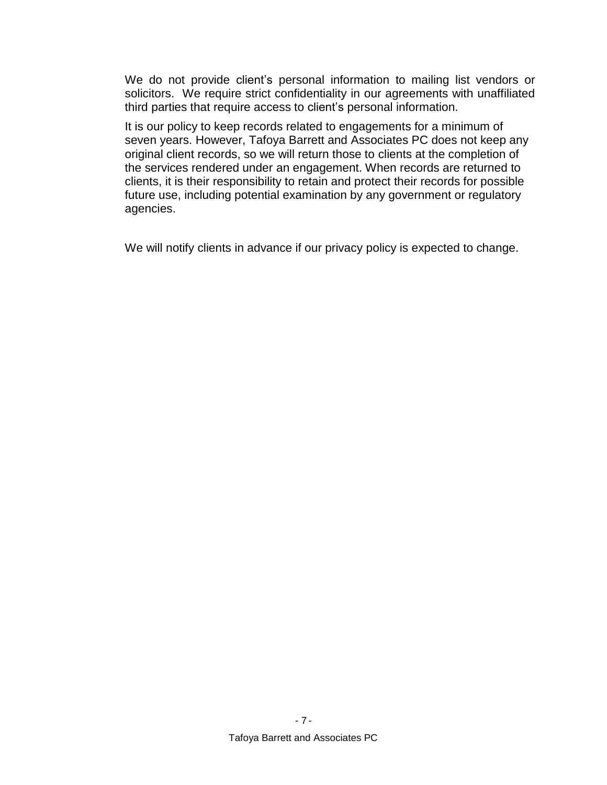We do not provide client's personal information to mailing list vendors or solicitors. We require strict confidentiality in our agreements with unaffiliated third parties that require access to client's personal information.

It is our policy to keep records related to engagements for a minimum of seven years. However, Tafoya Barrett and Associates PC does not keep any original client records, so we will return those to clients at the completion of the services rendered under an engagement. When records are returned to clients, it is their responsibility to retain and protect their records for possible future use, including potential examination by any government or regulatory agencies.

We will notify clients in advance if our privacy policy is expected to change.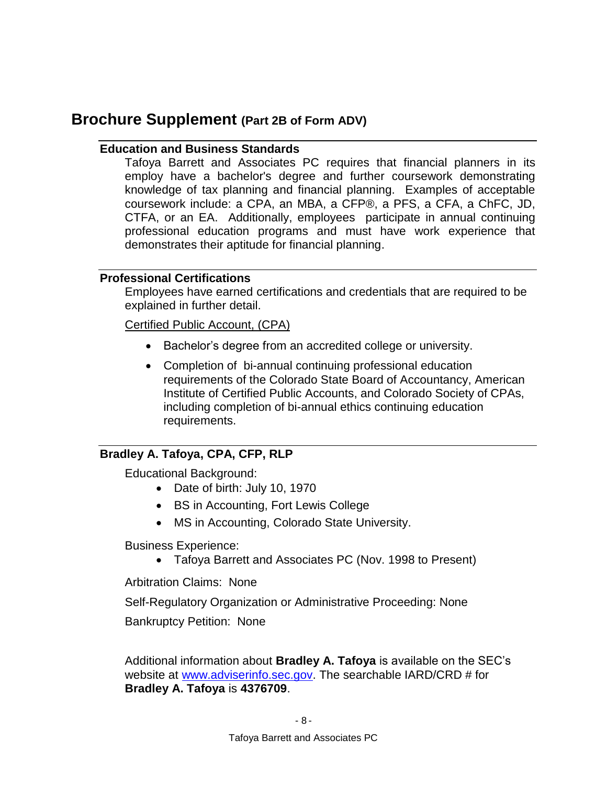## <span id="page-11-1"></span><span id="page-11-0"></span>**Brochure Supplement (Part 2B of Form ADV)**

### **Education and Business Standards**

Tafoya Barrett and Associates PC requires that financial planners in its employ have a bachelor's degree and further coursework demonstrating knowledge of tax planning and financial planning. Examples of acceptable coursework include: a CPA, an MBA, a CFP®, a PFS, a CFA, a ChFC, JD, CTFA, or an EA. Additionally, employees participate in annual continuing professional education programs and must have work experience that demonstrates their aptitude for financial planning.

### <span id="page-11-2"></span>**Professional Certifications**

Employees have earned certifications and credentials that are required to be explained in further detail.

### Certified Public Account, (CPA)

- Bachelor's degree from an accredited college or university.
- Completion of bi-annual continuing professional education requirements of the Colorado State Board of Accountancy, American Institute of Certified Public Accounts, and Colorado Society of CPAs, including completion of bi-annual ethics continuing education requirements.

### <span id="page-11-3"></span>**Bradley A. Tafoya, CPA, CFP, RLP**

Educational Background:

- Date of birth: July 10, 1970
- BS in Accounting, Fort Lewis College
- MS in Accounting, Colorado State University.

Business Experience:

Tafoya Barrett and Associates PC (Nov. 1998 to Present)

Arbitration Claims: None

Self-Regulatory Organization or Administrative Proceeding: None

Bankruptcy Petition: None

Additional information about **Bradley A. Tafoya** is available on the SEC's website at [www.adviserinfo.sec.gov.](http://www.adviserinfo.sec.gov/) The searchable IARD/CRD # for **Bradley A. Tafoya** is **4376709**.